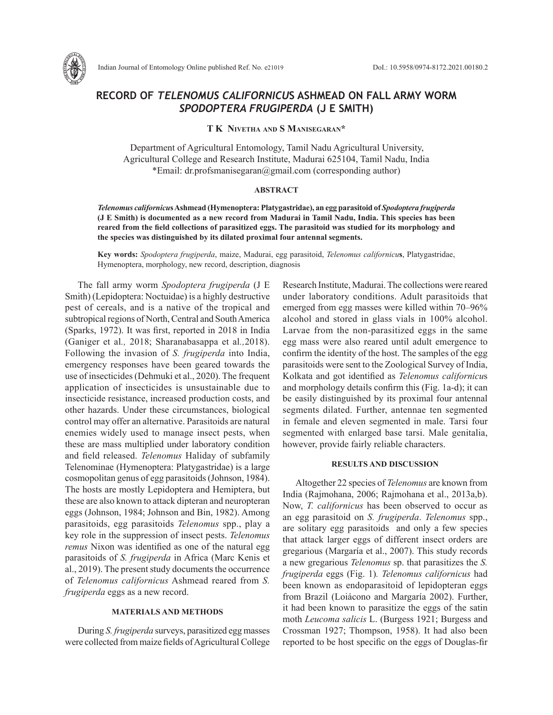

# **RECORD OF** *TELENOMUS CALIFORNICU***S ASHMEAD ON FALL ARMY WORM**  *SPODOPTERA FRUGIPERDA* **(J E SMITH)**

## **T K Nivetha and S Manisegaran\***

Department of Agricultural Entomology, Tamil Nadu Agricultural University, Agricultural College and Research Institute, Madurai 625104, Tamil Nadu, India \*Email: dr.profsmanisegaran@gmail.com (corresponding author)

## **ABSTRACT**

*Telenomus californicu***s Ashmead (Hymenoptera: Platygastridae), an egg parasitoid of** *Spodoptera frugiperda*  **(J E Smith) is documented as a new record from Madurai in Tamil Nadu, India. This species has been reared from the field collections of parasitized eggs. The parasitoid was studied for its morphology and the species was distinguished by its dilated proximal four antennal segments.** 

**Key words:** *Spodoptera frugiperda*, maize, Madurai, egg parasitoid, *Telenomus californicu***s**, Platygastridae, Hymenoptera, morphology, new record, description, diagnosis

The fall army worm *Spodoptera frugiperda* (J E Smith) (Lepidoptera: Noctuidae) is a highly destructive pest of cereals, and is a native of the tropical and subtropical regions of North, Central and South America (Sparks, 1972). It was first, reported in 2018 in India (Ganiger et al*.,* 2018; Sharanabasappa et al*.,*2018). Following the invasion of *S. frugiperda* into India, emergency responses have been geared towards the use of insecticides (Dehmuki et al., 2020). The frequent application of insecticides is unsustainable due to insecticide resistance, increased production costs, and other hazards. Under these circumstances, biological control may offer an alternative. Parasitoids are natural enemies widely used to manage insect pests, when these are mass multiplied under laboratory condition and field released. *Telenomus* Haliday of subfamily Telenominae (Hymenoptera: Platygastridae) is a large cosmopolitan genus of egg parasitoids (Johnson, 1984). The hosts are mostly Lepidoptera and Hemiptera, but these are also known to attack dipteran and neuropteran eggs (Johnson, 1984; Johnson and Bin, 1982). Among parasitoids, egg parasitoids *Telenomus* spp., play a key role in the suppression of insect pests. *Telenomus remus* Nixon was identified as one of the natural egg parasitoids of *S. frugiperda* in Africa (Marc Kenis et al., 2019). The present study documents the occurrence of *Telenomus californicus* Ashmead reared from *S. frugiperda* eggs as a new record.

## **MATERIALS AND METHODS**

During *S. frugiperda* surveys, parasitized egg masses were collected from maize fields of Agricultural College Research Institute, Madurai. The collections were reared under laboratory conditions. Adult parasitoids that emerged from egg masses were killed within 70–96% alcohol and stored in glass vials in 100% alcohol. Larvae from the non-parasitized eggs in the same egg mass were also reared until adult emergence to confirm the identity of the host. The samples of the egg parasitoids were sent to the Zoological Survey of India, Kolkata and got identified as *Telenomus californicu*s and morphology details confirm this (Fig. 1a-d); it can be easily distinguished by its proximal four antennal segments dilated. Further, antennae ten segmented in female and eleven segmented in male. Tarsi four segmented with enlarged base tarsi. Male genitalia, however, provide fairly reliable characters.

### **RESULTS AND DISCUSSION**

Altogether 22 species of *Telenomus* are known from India (Rajmohana, 2006; Rajmohana et al., 2013a,b). Now, *T. californicus* has been observed to occur as an egg parasitoid on *S. frugiperda*. *Telenomus* spp., are solitary egg parasitoids and only a few species that attack larger eggs of different insect orders are gregarious (Margaría et al., 2007). This study records a new gregarious *Telenomus* sp. that parasitizes the *S. frugiperda* eggs (Fig. 1)*. Telenomus californicus* had been known as endoparasitoid of lepidopteran eggs from Brazil (Loiácono and Margaría 2002). Further, it had been known to parasitize the eggs of the satin moth *Leucoma salicis* L. (Burgess 1921; Burgess and Crossman 1927; Thompson, 1958). It had also been reported to be host specific on the eggs of Douglas-fir